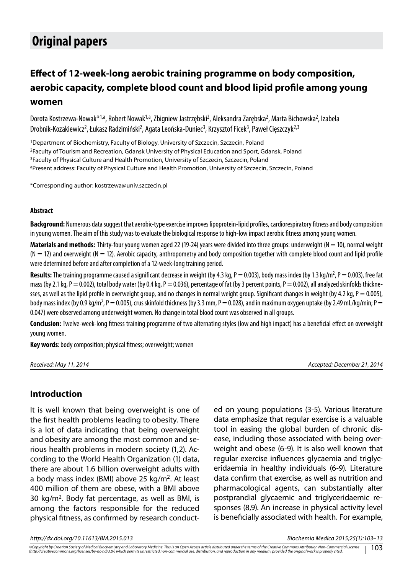# **Original papers**

## **Effect of 12-week-long aerobic training programme on body composition, aerobic capacity, complete blood count and blood lipid profile among young women**

Dorota Kostrzewa-Nowak\*<sup>1,a</sup>, Robert Nowak<sup>1,a</sup>, Zbigniew Jastrzębski<sup>2</sup>, Aleksandra Zarębska<sup>2</sup>, Marta Bichowska<sup>2</sup>, Izabela Drobnik-Kozakiewicz<sup>2</sup>, Łukasz Radzimiński<sup>2</sup>, Agata Leońska-Duniec<sup>3</sup>, Krzysztof Ficek<sup>3</sup>, Paweł Cięszczyk<sup>2,3</sup>

1Department of Biochemistry, Faculty of Biology, University of Szczecin, Szczecin, Poland 2Faculty of Tourism and Recreation, Gdansk University of Physical Education and Sport, Gdansk, Poland <sup>3</sup>Faculty of Physical Culture and Health Promotion, University of Szczecin, Szczecin, Poland aPresent address: Faculty of Physical Culture and Health Promotion, University of Szczecin, Szczecin, Poland

\*Corresponding author: kostrzewa@univ.szczecin.pl

#### **Abstract**

**Background:** Numerous data suggest that aerobic-type exercise improves lipoprotein-lipid profiles, cardiorespiratory fitness and body composition in young women. The aim of this study was to evaluate the biological response to high-low impact aerobic fitness among young women.

**Materials and methods:** Thirty-four young women aged 22 (19-24) years were divided into three groups: underweight (N = 10), normal weight  $(N = 12)$  and overweight  $(N = 12)$ . Aerobic capacity, anthropometry and body composition together with complete blood count and lipid profile were determined before and after completion of a 12-week-long training period.

Results: The training programme caused a significant decrease in weight (by 4.3 kg, P = 0.003), body mass index (by 1.3 kg/m<sup>2</sup>, P = 0.003), free fat mass (by 2.1 kg, P = 0.002), total body water (by 0.4 kg, P = 0.036), percentage of fat (by 3 percent points, P = 0.002), all analyzed skinfolds thicknesses, as well as the lipid profile in overweight group, and no changes in normal weight group. Significant changes in weight (by 4.2 kg,  $P = 0.005$ ), body mass index (by 0.9 kg/m², P  $=$  0.005), crus skinfold thickness (by 3.3 mm, P  $=$  0.028), and in maximum oxygen uptake (by 2.49 mL/kg/min; P  $=$ 0.047) were observed among underweight women. No change in total blood count was observed in all groups.

**Conclusion:** Twelve-week-long fitness training programme of two alternating styles (low and high impact) has a beneficial effect on overweight young women.

**Key words**: body composition; physical fitness; overweight; women

| Received: May 11, 2014 |  |  |  |
|------------------------|--|--|--|
|------------------------|--|--|--|

*Received: May 11, 2014 Accepted: December 21, 2014*

#### **Introduction**

It is well known that being overweight is one of the first health problems leading to obesity. There is a lot of data indicating that being overweight and obesity are among the most common and serious health problems in modern society (1,2). According to the World Health Organization (1) data, there are about 1.6 billion overweight adults with a body mass index (BMI) above 25 kg/m<sup>2</sup>. At least 400 million of them are obese, with a BMI above 30 kg/m<sup>2</sup>. Body fat percentage, as well as BMI, is among the factors responsible for the reduced physical fitness, as confirmed by research conducted on young populations (3-5). Various literature data emphasize that regular exercise is a valuable tool in easing the global burden of chronic disease, including those associated with being overweight and obese (6-9). It is also well known that regular exercise influences glycaemia and triglyceridaemia in healthy individuals (6-9). Literature data confirm that exercise, as well as nutrition and pharmacological agents, can substantially alter postprandial glycaemic and triglyceridaemic responses (8,9). An increase in physical activity level is beneficially associated with health. For example,

*http://dx.doi.org/10.11613/BM.2015.013 Biochemia Medica 2015;25(1):103–13*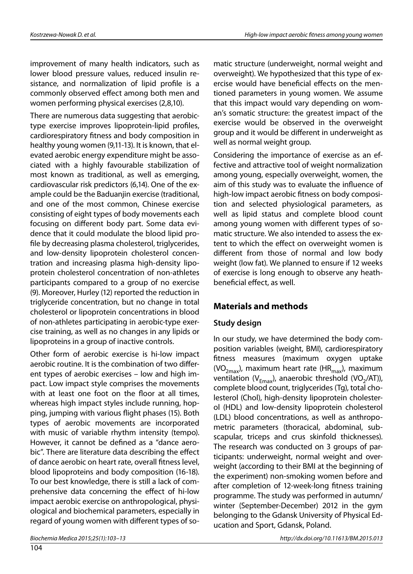improvement of many health indicators, such as lower blood pressure values, reduced insulin resistance, and normalization of lipid profile is a commonly observed effect among both men and women performing physical exercises (2,8,10).

There are numerous data suggesting that aerobictype exercise improves lipoprotein-lipid profiles, cardiorespiratory fitness and body composition in healthy young women (9,11-13). It is known, that elevated aerobic energy expenditure might be associated with a highly favourable stabilization of most known as traditional, as well as emerging, cardiovascular risk predictors (6,14). One of the example could be the Baduanjin exercise (traditional, and one of the most common, Chinese exercise consisting of eight types of body movements each focusing on different body part. Some data evidence that it could modulate the blood lipid profile by decreasing plasma cholesterol, triglycerides, and low-density lipoprotein cholesterol concentration and increasing plasma high-density lipoprotein cholesterol concentration of non-athletes participants compared to a group of no exercise (9). Moreover, Hurley (12) reported the reduction in triglyceride concentration, but no change in total cholesterol or lipoprotein concentrations in blood of non-athletes participating in aerobic-type exercise training, as well as no changes in any lipids or lipoproteins in a group of inactive controls.

Other form of aerobic exercise is hi-low impact aerobic routine. It is the combination of two different types of aerobic exercises – low and high impact. Low impact style comprises the movements with at least one foot on the floor at all times, whereas high impact styles include running, hopping, jumping with various flight phases (15). Both types of aerobic movements are incorporated with music of variable rhythm intensity (tempo). However, it cannot be defined as a "dance aerobic". There are literature data describing the effect of dance aerobic on heart rate, overall fitness level, blood lipoproteins and body composition (16-18). To our best knowledge, there is still a lack of comprehensive data concerning the effect of hi-low impact aerobic exercise on anthropological, physiological and biochemical parameters, especially in regard of young women with different types of somatic structure (underweight, normal weight and overweight). We hypothesized that this type of exercise would have beneficial effects on the mentioned parameters in young women. We assume that this impact would vary depending on woman's somatic structure: the greatest impact of the exercise would be observed in the overweight group and it would be different in underweight as well as normal weight group.

Considering the importance of exercise as an effective and attractive tool of weight normalization among young, especially overweight, women, the aim of this study was to evaluate the influence of high-low impact aerobic fitness on body composition and selected physiological parameters, as well as lipid status and complete blood count among young women with different types of somatic structure. We also intended to assess the extent to which the effect on overweight women is different from those of normal and low body weight (low fat). We planned to ensure if 12 weeks of exercise is long enough to observe any heathbeneficial effect, as well.

#### **Materials and methods**

#### **Study design**

In our study, we have determined the body composition variables (weight, BMI), cardiorespiratory fitness measures (maximum oxygen uptake (VO<sub>2max</sub>), maximum heart rate (HR<sub>max</sub>), maximum ventilation ( $V_{Fmax}$ ), anaerobic threshold (VO<sub>2</sub>/AT)), complete blood count, triglycerides (Tg), total cholesterol (Chol), high-density lipoprotein cholesterol (HDL) and low-density lipoprotein cholesterol (LDL) blood concentrations, as well as anthropometric parameters (thoracical, abdominal, subscapular, triceps and crus skinfold thicknesses). The research was conducted on 3 groups of participants: underweight, normal weight and overweight (according to their BMI at the beginning of the experiment) non-smoking women before and after completion of 12-week-long fitness training programme. The study was performed in autumn/ winter (September-December) 2012 in the gym belonging to the Gdansk University of Physical Education and Sport, Gdansk, Poland.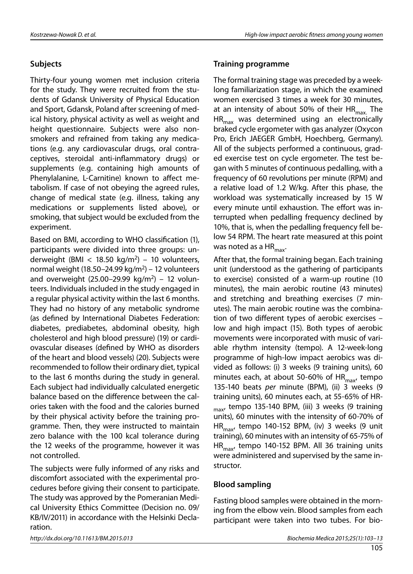#### **Subjects**

Thirty-four young women met inclusion criteria for the study. They were recruited from the students of Gdansk University of Physical Education and Sport, Gdansk, Poland after screening of medical history, physical activity as well as weight and height questionnaire. Subjects were also nonsmokers and refrained from taking any medications (e.g. any cardiovascular drugs, oral contraceptives, steroidal anti-inflammatory drugs) or supplements (e.g. containing high amounts of Phenylalanine, L-Carnitine) known to affect metabolism. If case of not obeying the agreed rules, change of medical state (e.g. illness, taking any medications or supplements listed above), or smoking, that subject would be excluded from the experiment.

Based on BMI, according to WHO classification (1), participants were divided into three groups: underweight (BMI < 18.50 kg/m<sup>2</sup>) – 10 volunteers, normal weight (18.50–24.99 kg/m<sup>2</sup>) – 12 volunteers and overweight  $(25.00-29.99 \text{ kg/m}^2)$  – 12 volunteers. Individuals included in the study engaged in a regular physical activity within the last 6 months. They had no history of any metabolic syndrome (as defined by International Diabetes Federation: diabetes, prediabetes, abdominal obesity, high cholesterol and high blood pressure) (19) or cardiovascular diseases (defined by WHO as disorders of the heart and blood vessels) (20). Subjects were recommended to follow their ordinary diet, typical to the last 6 months during the study in general. Each subject had individually calculated energetic balance based on the difference between the calories taken with the food and the calories burned by their physical activity before the training programme. Then, they were instructed to maintain zero balance with the 100 kcal tolerance during the 12 weeks of the programme, however it was not controlled.

The subjects were fully informed of any risks and discomfort associated with the experimental procedures before giving their consent to participate. The study was approved by the Pomeranian Medical University Ethics Committee (Decision no. 09/ KB/IV/2011) in accordance with the Helsinki Declaration.

#### **Training programme**

The formal training stage was preceded by a weeklong familiarization stage, in which the examined women exercised 3 times a week for 30 minutes, at an intensity of about 50% of their  $HR_{max}$ . The  $HR_{max}$  was determined using an electronically braked cycle ergometer with gas analyzer (Oxycon Pro, Erich JAEGER GmbH, Hoechberg, Germany). All of the subjects performed a continuous, graded exercise test on cycle ergometer. The test began with 5 minutes of continuous pedalling, with a frequency of 60 revolutions per minute (RPM) and a relative load of 1.2 W/kg. After this phase, the workload was systematically increased by 15 W every minute until exhaustion. The effort was interrupted when pedalling frequency declined by 10%, that is, when the pedalling frequency fell below 54 RPM. The heart rate measured at this point was noted as a  $HR_{\text{max}}$ .

After that, the formal training began. Each training unit (understood as the gathering of participants to exercise) consisted of a warm-up routine (10 minutes), the main aerobic routine (43 minutes) and stretching and breathing exercises (7 minutes). The main aerobic routine was the combination of two different types of aerobic exercises – low and high impact (15). Both types of aerobic movements were incorporated with music of variable rhythm intensity (tempo). A 12-week-long programme of high-low impact aerobics was divided as follows: (i) 3 weeks (9 training units), 60 minutes each, at about 50-60% of  $HR_{max}$ , tempo 135-140 beats *per* minute (BPM), (ii) 3 weeks (9 training units), 60 minutes each, at 55-65% of HR- $_{\text{max}}$ , tempo 135-140 BPM, (iii) 3 weeks (9 training units), 60 minutes with the intensity of 60-70% of HR $_{\text{max}}$ , tempo 140-152 BPM, (iv) 3 weeks (9 unit training), 60 minutes with an intensity of 65-75% of  $HR_{max}$ , tempo 140-152 BPM. All 36 training units were administered and supervised by the same instructor.

#### **Blood sampling**

Fasting blood samples were obtained in the morning from the elbow vein. Blood samples from each participant were taken into two tubes. For bio-

*http://dx.doi.org/10.11613/BM.2015.013 Biochemia Medica 2015;25(1):103–13*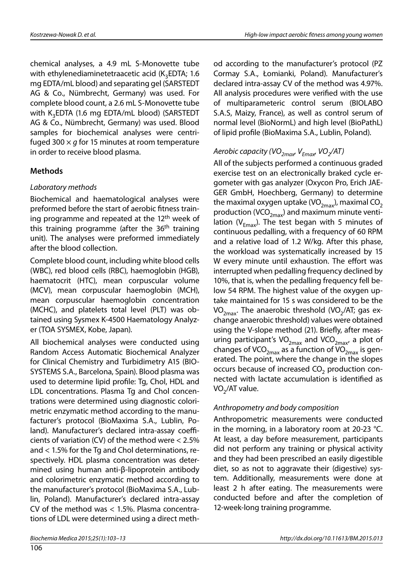chemical analyses, a 4.9 mL S-Monovette tube with ethylenediaminetetraacetic acid  $(K<sub>2</sub>EDTA; 1.6$ mg EDTA/mL blood) and separating gel (SARSTEDT AG & Co., Nümbrecht, Germany) was used. For complete blood count, a 2.6 mL S-Monovette tube with K<sub>3</sub>EDTA (1.6 mg EDTA/mL blood) (SARSTEDT AG & Co., Nümbrecht, Germany) was used. Blood samples for biochemical analyses were centrifuged 300 × *g* for 15 minutes at room temperature in order to receive blood plasma.

#### **Methods**

#### *Laboratory methods*

Biochemical and haematological analyses were preformed before the start of aerobic fitness training programme and repeated at the 12<sup>th</sup> week of this training programme (after the 36<sup>th</sup> training unit). The analyses were preformed immediately after the blood collection.

Complete blood count, including white blood cells (WBC), red blood cells (RBC), haemoglobin (HGB), haematocrit (HTC), mean corpuscular volume (MCV), mean corpuscular haemoglobin (MCH), mean corpuscular haemoglobin concentration (MCHC), and platelets total level (PLT) was obtained using Sysmex K-4500 Haematology Analyzer (TOA SYSMEX, Kobe, Japan).

All biochemical analyses were conducted using Random Access Automatic Biochemical Analyzer for Clinical Chemistry and Turbidimetry A15 (BIO-SYSTEMS S.A., Barcelona, Spain). Blood plasma was used to determine lipid profile: Tg, Chol, HDL and LDL concentrations. Plasma Tg and Chol concentrations were determined using diagnostic colorimetric enzymatic method according to the manufacturer's protocol (BioMaxima S.A., Lublin, Poland). Manufacturer's declared intra-assay coefficients of variation (CV) of the method were < 2.5% and < 1.5% for the Tg and Chol determinations, respectively. HDL plasma concentration was determined using human anti-β-lipoprotein antibody and colorimetric enzymatic method according to the manufacturer's protocol (BioMaxima S.A., Lublin, Poland). Manufacturer's declared intra-assay CV of the method was < 1.5%. Plasma concentrations of LDL were determined using a direct method according to the manufacturer's protocol (PZ Cormay S.A., Łomianki, Poland). Manufacturer's declared intra-assay CV of the method was 4.97%. All analysis procedures were verified with the use of multiparameteric control serum (BIOLABO S.A.S, Maizy, France), as well as control serum of normal level (BioNormL) and high level (BioPathL) of lipid profile (BioMaxima S.A., Lublin, Poland).

## *Aerobic capacity (VO<sub>2max</sub>, V<sub>Emax</sub>, VO<sub>2</sub>/AT)*

All of the subjects performed a continuous graded exercise test on an electronically braked cycle ergometer with gas analyzer (Oxycon Pro, Erich JAE-GER GmbH, Hoechberg, Germany) to determine the maximal oxygen uptake (VO<sub>2max</sub>), maximal CO<sub>2</sub> production (VCO<sub>2max</sub>) and maximum minute ventilation ( $V_{Fmax}$ ). The test began with 5 minutes of continuous pedalling, with a frequency of 60 RPM and a relative load of 1.2 W/kg. After this phase, the workload was systematically increased by 15 W every minute until exhaustion. The effort was interrupted when pedalling frequency declined by 10%, that is, when the pedalling frequency fell below 54 RPM. The highest value of the oxygen uptake maintained for 15 s was considered to be the  $VO<sub>2max</sub>$ . The anaerobic threshold (VO<sub>2</sub>/AT; gas exchange anaerobic threshold) values were obtained using the V-slope method (21). Briefly, after measuring participant's VO<sub>2max</sub> and VCO<sub>2max</sub>, a plot of changes of VCO<sub>2max</sub> as a function of  $\overline{VO}_{2max}$  is generated. The point, where the change in the slopes occurs because of increased  $CO<sub>2</sub>$  production connected with lactate accumulation is identified as  $VO<sub>2</sub>/AT$  value.

#### *Anthropometry and body composition*

Anthropometric measurements were conducted in the morning, in a laboratory room at 20-23 °C. At least, a day before measurement, participants did not perform any training or physical activity and they had been prescribed an easily digestible diet, so as not to aggravate their (digestive) system. Additionally, measurements were done at least 2 h after eating. The measurements were conducted before and after the completion of 12-week-long training programme.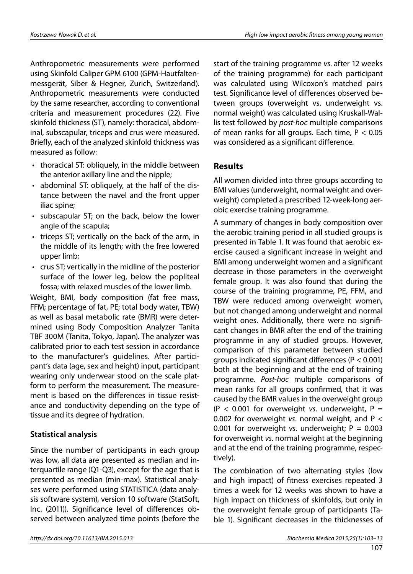Anthropometric measurements were performed using Skinfold Caliper GPM 6100 (GPM-Hautfaltenmessgerät, Siber & Hegner, Zurich, Switzerland). Anthropometric measurements were conducted by the same researcher, according to conventional criteria and measurement procedures (22). Five skinfold thickness (ST), namely: thoracical, abdominal, subscapular, triceps and crus were measured. Briefly, each of the analyzed skinfold thickness was measured as follow:

- thoracical ST: obliquely, in the middle between the anterior axillary line and the nipple;
- abdominal ST: obliquely, at the half of the distance between the navel and the front upper iliac spine;
- subscapular ST; on the back, below the lower angle of the scapula;
- triceps ST; vertically on the back of the arm, in the middle of its length; with the free lowered upper limb;
- • crus ST; vertically in the midline of the posterior surface of the lower leg, below the popliteal fossa; with relaxed muscles of the lower limb.

Weight, BMI, body composition (fat free mass, FFM; percentage of fat, PE; total body water, TBW) as well as basal metabolic rate (BMR) were determined using Body Composition Analyzer Tanita TBF 300M (Tanita, Tokyo, Japan). The analyzer was calibrated prior to each test session in accordance to the manufacturer's guidelines. After participant's data (age, sex and height) input, participant wearing only underwear stood on the scale platform to perform the measurement. The measurement is based on the differences in tissue resistance and conductivity depending on the type of tissue and its degree of hydration.

#### **Statistical analysis**

Since the number of participants in each group was low, all data are presented as median and interquartile range (Q1-Q3), except for the age that is presented as median (min-max). Statistical analyses were performed using STATISTICA (data analysis software system), version 10 software (StatSoft, Inc. (2011)). Significance level of differences observed between analyzed time points (before the

start of the training programme *vs*. after 12 weeks of the training programme) for each participant was calculated using Wilcoxon's matched pairs test. Significance level of differences observed between groups (overweight vs. underweight vs. normal weight) was calculated using Kruskall-Wallis test followed by *post-hoc* multiple comparisons of mean ranks for all groups. Each time,  $P \le 0.05$ was considered as a significant difference.

#### **Results**

All women divided into three groups according to BMI values (underweight, normal weight and overweight) completed a prescribed 12-week-long aerobic exercise training programme.

A summary of changes in body composition over the aerobic training period in all studied groups is presented in Table 1. It was found that aerobic exercise caused a significant increase in weight and BMI among underweight women and a significant decrease in those parameters in the overweight female group. It was also found that during the course of the training programme, PE, FFM, and TBW were reduced among overweight women, but not changed among underweight and normal weight ones. Additionally, there were no significant changes in BMR after the end of the training programme in any of studied groups. However, comparison of this parameter between studied groups indicated significant differences (P < 0.001) both at the beginning and at the end of training programme. *Post-hoc* multiple comparisons of mean ranks for all groups confirmed, that it was caused by the BMR values in the overweight group  $(P < 0.001$  for overweight *vs.* underweight,  $P =$ 0.002 for overweight *vs*. normal weight, and P < 0.001 for overweight *vs*. underweight; P = 0.003 for overweight *vs*. normal weight at the beginning and at the end of the training programme, respectively).

The combination of two alternating styles (low and high impact) of fitness exercises repeated 3 times a week for 12 weeks was shown to have a high impact on thickness of skinfolds, but only in the overweight female group of participants (Table 1). Significant decreases in the thicknesses of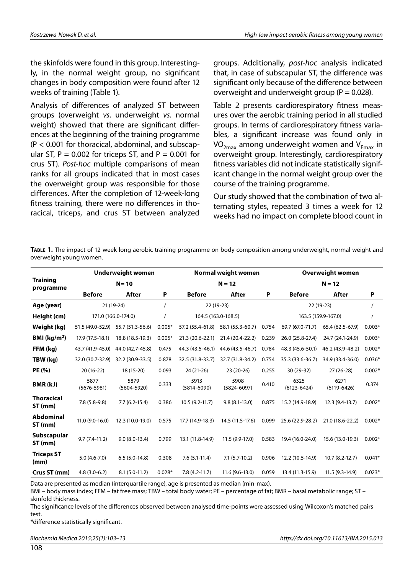the skinfolds were found in this group. Interestingly, in the normal weight group, no significant changes in body composition were found after 12 weeks of training (Table 1).

Analysis of differences of analyzed ST between groups (overweight *vs*. underweight *vs*. normal weight) showed that there are significant differences at the beginning of the training programme (P < 0.001 for thoracical, abdominal, and subscapular ST,  $P = 0.002$  for triceps ST, and  $P = 0.001$  for crus ST). *Post-hoc* multiple comparisons of mean ranks for all groups indicated that in most cases the overweight group was responsible for those differences. After the completion of 12-week-long fitness training, there were no differences in thoracical, triceps, and crus ST between analyzed groups. Additionally, *post-hoc* analysis indicated that, in case of subscapular ST, the difference was significant only because of the difference between overweight and underweight group ( $P = 0.028$ ).

Table 2 presents cardiorespiratory fitness measures over the aerobic training period in all studied groups. In terms of cardiorespiratory fitness variables, a significant increase was found only in  $VO<sub>2max</sub>$  among underweight women and  $V<sub>Fmax</sub>$  in overweight group. Interestingly, cardiorespiratory fitness variables did not indicate statistically significant change in the normal weight group over the course of the training programme.

Our study showed that the combination of two alternating styles, repeated 3 times a week for 12 weeks had no impact on complete blood count in

**Table 1.** The impact of 12-week-long aerobic training programme on body composition among underweight, normal weight and overweight young women.

|                              |                         | <b>Underweight women</b> | Normal weight women |                         |                         | <b>Overweight women</b> |                         |                         |          |
|------------------------------|-------------------------|--------------------------|---------------------|-------------------------|-------------------------|-------------------------|-------------------------|-------------------------|----------|
| <b>Training</b><br>programme | $N = 10$                |                          |                     | $N = 12$                |                         |                         | $N = 12$                |                         |          |
|                              | <b>Before</b>           | After                    | P                   | <b>Before</b>           | After                   | P                       | <b>Before</b>           | After                   | P        |
| Age (year)                   |                         | 21 (19-24)               |                     | 22 (19-23)              |                         |                         | 22 (19-23)              |                         |          |
| Height (cm)                  |                         | 171.0 (166.0-174.0)      |                     | 164.5 (163.0-168.5)     |                         |                         | 163.5 (159.9-167.0)     |                         |          |
| Weight (kg)                  | 51.5 (49.0-52.9)        | 55.7 (51.3-56.6)         | $0.005*$            | 57.2 (55.4-61.8)        | 58.1 (55.3-60.7)        | 0.754                   | 69.7 (67.0-71.7)        | 65.4 (62.5-67.9)        | $0.003*$ |
| BMI ( $\text{kg/m}^2$ )      | 17.9 (17.5-18.1)        | 18.8 (18.5-19.3)         | $0.005*$            | 21.3 (20.6-22.1)        | 21.4 (20.4-22.2)        | 0.239                   | 26.0 (25.8-27.4)        | 24.7 (24.1-24.9)        | $0.003*$ |
| FFM (kg)                     | 43.7 (41.9-45.0)        | 44.0 (42.7-45.8)         | 0.475               | 44.3 (43.5-46.1)        | 44.6 (43.5-46.7)        | 0.784                   | 48.3 (45.6-50.1)        | 46.2 (43.9-48.2)        | $0.002*$ |
| TBW (kg)                     | 32.0 (30.7-32.9)        | 32.2 (30.9-33.5)         | 0.878               | 32.5 (31.8-33.7)        | 32.7 (31.8-34.2)        | 0.754                   | 35.3 (33.6-36.7)        | 34.9 (33.4-36.0)        | $0.036*$ |
| PE (%)                       | 20 (16-22)              | 18 (15-20)               | 0.093               | 24 (21-26)              | 23 (20-26)              | 0.255                   | 30 (29-32)              | $27(26-28)$             | $0.002*$ |
| BMR(kJ)                      | 5877<br>$(5676 - 5981)$ | 5879<br>$(5604 - 5920)$  | 0.333               | 5913<br>$(5814 - 6090)$ | 5908<br>$(5824 - 6097)$ | 0.410                   | 6325<br>$(6123 - 6424)$ | 6271<br>$(6119 - 6426)$ | 0.374    |
| <b>Thoracical</b><br>ST (mm) | $7.8(5.8-9.8)$          | $7.7(6.2-15.4)$          | 0.386               | $10.5(9.2-11.7)$        | $9.8(8.1-13.0)$         | 0.875                   | 15.2 (14.9-18.9)        | 12.3 (9.4-13.7)         | $0.002*$ |
| <b>Abdominal</b><br>ST (mm)  | 11.0 (9.0-16.0)         | 12.3 (10.0-19.0)         | 0.575               | 17.7 (14.9-18.3)        | 14.5 (11.5-17.6)        | 0.099                   | 25.6 (22.9-28.2)        | 21.0 (18.6-22.2)        | $0.002*$ |
| Subscapular<br>ST (mm)       | $9.7(7.4-11.2)$         | $9.0(8.0-13.4)$          | 0.799               | 13.1 (11.8-14.9)        | 11.5 (9.9-17.0)         | 0.583                   | 19.4 (16.0-24.0)        | 15.6 (13.0-19.3)        | $0.002*$ |
| <b>Triceps ST</b><br>(mm)    | $5.0(4.6-7.0)$          | $6.5(5.0-14.8)$          | 0.308               | $7.6(5.1-11.4)$         | $7.1(5.7-10.2)$         | 0.906                   | 12.2 (10.5-14.9)        | $10.7(8.2-12.7)$        | $0.041*$ |
| Crus ST (mm)                 | $4.8(3.0-6.2)$          | $8.1(5.0-11.2)$          | $0.028*$            | $7.8(4.2-11.7)$         | $11.6(9.6-13.0)$        | 0.059                   | 13.4 (11.3-15.9)        | 11.5 (9.3-14.9)         | $0.023*$ |

Data are presented as median (interquartile range), age is presented as median (min-max).

BMI – body mass index; FFM – fat free mass; TBW – total body water; PE – percentage of fat; BMR – basal metabolic range; ST – skinfold thickness.

The significance levels of the differences observed between analysed time-points were assessed using Wilcoxon's matched pairs test.

\*difference statistically significant.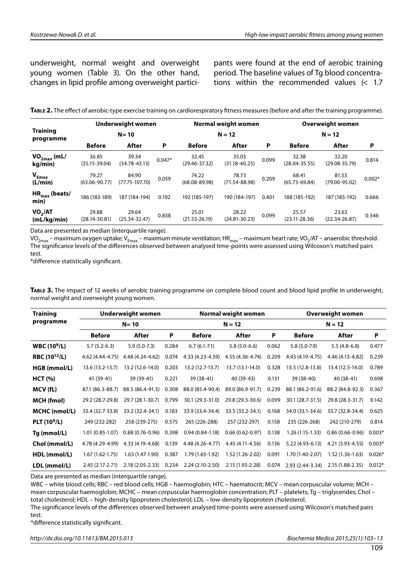underweight, normal weight and overweight young women (Table 3). On the other hand, changes in lipid profile among overweight participants were found at the end of aerobic training period. The baseline values of Tg blood concentrations within the recommended values (< 1.7

| <b>Training</b><br>programme       | Underweight women<br>$N = 10$ |                             |                            | Normal weight women<br>$N = 12$ |                            |                            | Overweight women<br>$N = 12$ |                            |                            |
|------------------------------------|-------------------------------|-----------------------------|----------------------------|---------------------------------|----------------------------|----------------------------|------------------------------|----------------------------|----------------------------|
|                                    |                               |                             |                            |                                 |                            |                            |                              |                            |                            |
|                                    | $VO_{2max}$ (mL/<br>kg/min)   | 36.85<br>$(35.15 - 39.04)$  | 39.34<br>$(34.78 - 43.13)$ | $0.047*$                        | 32.45<br>$(29.46 - 37.32)$ | 35.03<br>$(31.18 - 40.25)$ | 0.099                        | 32.38<br>$(28.04 - 35.55)$ | 33.20<br>$(29.08 - 35.79)$ |
| $V_{Emax}$<br>(L/min)              | 79.27<br>$(63.06 - 90.77)$    | 84.90<br>$(77.75 - 107.70)$ | 0.059                      | 74.22<br>$(68.08 - 89.98)$      | 78.73<br>$(71.54 - 88.98)$ | 0.209                      | 68.41<br>$(65.73 - 69.84)$   | 81.53<br>$(79.00 - 95.02)$ | $0.002*$                   |
| HR <sub>max</sub> (beats/<br>min)  | 186 (183-189)                 | 187 (184-194)               | 0.192                      | 192 (185-197)                   | 190 (184-197)              | 0.401                      | 188 (185-192)                | 187 (183-192)              | 0.666                      |
| VO <sub>2</sub> /AT<br>(mL/kg/min) | 29.88<br>$(28.14 - 30.81)$    | 29.64<br>$(25.34 - 32.47)$  | 0.838                      | 25.01<br>$(21.53 - 26.19)$      | 28.22<br>$(24.81 - 30.23)$ | 0.099                      | 25.57<br>$(23.11 - 28.36)$   | 23.63<br>$(22.34 - 26.87)$ | 0.346                      |

**Table 2.** The effect of aerobic-type exercise training on cardiorespiratory fitness measures (before and after the training programme).

Data are presented as median (interquartile range).

VO<sub>2max</sub> – maximum oxygen uptake; V<sub>Emax</sub> – maximum minute ventilation; HR<sub>max</sub> – maximum heart rate; VO<sub>2</sub>/AT – anaerobic threshold. The significance levels of the differences observed between analysed time-points were assessed using Wilcoxon's matched pairs test.

\*difference statistically significant.

| TABLE 3. The impact of 12 weeks of aerobic training programme on complete blood count and blood lipid profile in underweight, |
|-------------------------------------------------------------------------------------------------------------------------------|
| normal weight and overweight young women.                                                                                     |

| <b>Training</b>                | Underweight women   |                     |       | Normal weight women |                   |       | <b>Overweight women</b> |                     |          |
|--------------------------------|---------------------|---------------------|-------|---------------------|-------------------|-------|-------------------------|---------------------|----------|
| programme                      | $N = 10$            |                     |       | $N = 12$            |                   |       | $N = 12$                |                     |          |
|                                | <b>Before</b>       | After               | P     | <b>Before</b>       | After             | P     | <b>Before</b>           | After               | P        |
| <b>WBC (10<sup>9</sup>/L)</b>  | $5.7(5.2-6.3)$      | $5.9(5.0-7.3)$      | 0.284 | $6.7(6.1-7.1)$      | $5.8(5.0-6.6)$    | 0.062 | $5.8(5.0-7.9)$          | $5.5(4.8-6.8)$      | 0.477    |
| <b>RBC (10<sup>12</sup>/L)</b> | 4.62 (4.44-4.75)    | 4.48 (4.24-4.62)    | 0.074 | 4.33 (4.23-4.59)    | 4.55 (4.36-4.74)  | 0.209 | 4.43 (4.19-4.75)        | 4.46 (4.13-4.82)    | 0.239    |
| HGB (mmol/L)                   | 13.6 (13.2-13.7)    | 13.2 (12.6-14.0)    | 0.203 | 13.2 (12.7-13.7)    | 13.7 (13.1-14.0)  | 0.328 | 13.5 (12.8-13.8)        | 13.4 (12.5-14.0)    | 0.789    |
| HCT (%)                        | 41 (39-41)          | 39 (39-41)          | 0.221 | 39 (38-41)          | 40 (39-43)        | 0.131 | 39 (38-40)              | 40 (38-41)          | 0.698    |
| MCV (fL)                       | 87.1 (86.3-88.7)    | 88.5 (86.4-91.5)    | 0.308 | 88.0 (85.4-90.4)    | 89.0 (86.9-91.7)  | 0.239 | 88.1 (86.2-91.6)        | 88.2 (84.8-92.3)    | 0.367    |
| <b>MCH</b> (fmol)              | 29.2 (28.7-29.8)    | 29.7 (28.1-30.7)    | 0.799 | 30.1 (29.3-31.0)    | 29.8 (29.3-30.6)  | 0.099 | 30.1 (28.7-31.5)        | 29.8 (28.3-31.7)    | 0.142    |
| MCHC (nmol/L)                  | 33.4 (32.7-33.8)    | 33.2 (32.4-34.1)    | 0.183 | 33.9 (33.4-34.4)    | 33.5 (33.2-34.1)  | 0.168 | 34.0 (33.1-34.6)        | 33.7 (32.8-34.4)    | 0.625    |
| PLT (10 <sup>9</sup> /L)       | 249 (232-282)       | 258 (239-275)       | 0.575 | 265 (226-288)       | 257 (232-297)     | 0.158 | 235 (226-268)           | 242 (210-279)       | 0.814    |
| Tg (mmol/L)                    | $1.01(0.85-1.07)$   | $0.88(0.76 - 0.96)$ | 0.398 | $0.94(0.84-1.18)$   | $0.66(0.62-0.97)$ | 0.138 | $1.26(1.15-1.33)$       | $0.86(0.66 - 0.96)$ | $0.003*$ |
| Chol (mmol/L)                  | 4.78 (4.29-4.99)    | 4.33 (4.19-4.68)    | 0.139 | 4.48 (4.26-4.77)    | 4.45 (4.11-4.56)  | 0.136 | 5.22 (4.93-6.13)        | 4.21 (3.93-4.55)    | $0.003*$ |
| HDL (mmol/L)                   | $1.67(1.62 - 1.75)$ | $1.63(1.47-1.90)$   | 0.387 | 1.79 (1.65-1.92)    | 1.52 (1.26-2.02)  | 0.091 | 1.70 (1.40-2.07)        | $1.52(1.36-1.63)$   | $0.026*$ |
| LDL (mmol/L)                   | $2.45(2.17-2.71)$   | 2.18 (2.05-2.33)    | 0.234 | 2.24 (2.10-2.50)    | 2.15 (1.93-2.28)  | 0.074 | $2.93(2.44-3.34)$       | $2.15(1.88-2.35)$   | $0.012*$ |

Data are presented as median (interquartile range).

WBC – white blood cells; RBC – red blood cells; HGB – haemoglobin; HTC – haematocrit; MCV – mean corpuscular volume; MCH – mean corpuscular haemoglobin; MCHC – mean corpuscular haemoglobin concentration; PLT – platelets; Tg – triglycerides; Chol – total cholesterol; HDL – high-density lipoprotein cholesterol; LDL – low-density lipoprotein cholesterol.

The significance levels of the differences observed between analysed time-points were assessed using Wilcoxon's matched pairs test.

\*difference statistically significant.

*http://dx.doi.org/10.11613/BM.2015.013 Biochemia Medica 2015;25(1):103–13*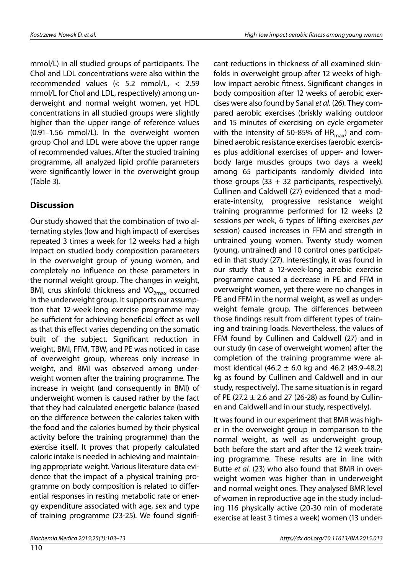mmol/L) in all studied groups of participants. The Chol and LDL concentrations were also within the recommended values (< 5.2 mmol/L, < 2.59 mmol/L for Chol and LDL, respectively) among underweight and normal weight women, yet HDL concentrations in all studied groups were slightly higher than the upper range of reference values (0.91–1.56 mmol/L). In the overweight women group Chol and LDL were above the upper range of recommended values. After the studied training programme, all analyzed lipid profile parameters were significantly lower in the overweight group (Table 3).

### **Discussion**

Our study showed that the combination of two alternating styles (low and high impact) of exercises repeated 3 times a week for 12 weeks had a high impact on studied body composition parameters in the overweight group of young women, and completely no influence on these parameters in the normal weight group. The changes in weight, BMI, crus skinfold thickness and  $VO<sub>2max</sub>$  occurred in the underweight group. It supports our assumption that 12-week-long exercise programme may be sufficient for achieving beneficial effect as well as that this effect varies depending on the somatic built of the subject. Significant reduction in weight, BMI, FFM, TBW, and PE was noticed in case of overweight group, whereas only increase in weight, and BMI was observed among underweight women after the training programme. The increase in weight (and consequently in BMI) of underweight women is caused rather by the fact that they had calculated energetic balance (based on the difference between the calories taken with the food and the calories burned by their physical activity before the training programme) than the exercise itself. It proves that properly calculated caloric intake is needed in achieving and maintaining appropriate weight. Various literature data evidence that the impact of a physical training programme on body composition is related to differential responses in resting metabolic rate or energy expenditure associated with age, sex and type of training programme (23-25). We found significant reductions in thickness of all examined skinfolds in overweight group after 12 weeks of highlow impact aerobic fitness. Significant changes in body composition after 12 weeks of aerobic exercises were also found by Sanal *et al*. (26). They compared aerobic exercises (briskly walking outdoor and 15 minutes of exercising on cycle ergometer with the intensity of 50-85% of  $HR_{\text{max}}$ ) and combined aerobic resistance exercises (aerobic exercises plus additional exercises of upper- and lowerbody large muscles groups two days a week) among 65 participants randomly divided into those groups  $(33 + 32$  participants, respectively). Cullinen and Caldwell (27) evidenced that a moderate-intensity, progressive resistance weight training programme performed for 12 weeks (2 sessions *per* week, 6 types of lifting exercises *per* session) caused increases in FFM and strength in untrained young women. Twenty study women (young, untrained) and 10 control ones participated in that study (27). Interestingly, it was found in our study that a 12-week-long aerobic exercise programme caused a decrease in PE and FFM in overweight women, yet there were no changes in PE and FFM in the normal weight, as well as underweight female group. The differences between those findings result from different types of training and training loads. Nevertheless, the values of FFM found by Cullinen and Caldwell (27) and in our study (in case of overweight women) after the completion of the training programme were almost identical  $(46.2 \pm 6.0 \text{ kg}$  and 46.2  $(43.9-48.2)$ kg as found by Cullinen and Caldwell and in our study, respectively). The same situation is in regard of PE (27.2  $\pm$  2.6 and 27 (26-28) as found by Cullinen and Caldwell and in our study, respectively).

It was found in our experiment that BMR was higher in the overweight group in comparison to the normal weight, as well as underweight group, both before the start and after the 12 week training programme. These results are in line with Butte *et al*. (23) who also found that BMR in overweight women was higher than in underweight and normal weight ones. They analysed BMR level of women in reproductive age in the study including 116 physically active (20-30 min of moderate exercise at least 3 times a week) women (13 under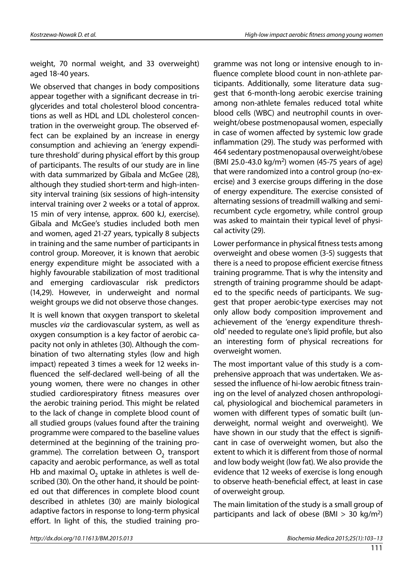weight, 70 normal weight, and 33 overweight) aged 18-40 years.

We observed that changes in body compositions appear together with a significant decrease in triglycerides and total cholesterol blood concentrations as well as HDL and LDL cholesterol concentration in the overweight group. The observed effect can be explained by an increase in energy consumption and achieving an 'energy expenditure threshold' during physical effort by this group of participants. The results of our study are in line with data summarized by Gibala and McGee (28), although they studied short-term and high-intensity interval training (six sessions of high-intensity interval training over 2 weeks or a total of approx. 15 min of very intense, approx. 600 kJ, exercise). Gibala and McGee's studies included both men and women, aged 21-27 years, typically 8 subjects in training and the same number of participants in control group. Moreover, it is known that aerobic energy expenditure might be associated with a highly favourable stabilization of most traditional and emerging cardiovascular risk predictors (14,29). However, in underweight and normal weight groups we did not observe those changes.

It is well known that oxygen transport to skeletal muscles *via* the cardiovascular system, as well as oxygen consumption is a key factor of aerobic capacity not only in athletes (30). Although the combination of two alternating styles (low and high impact) repeated 3 times a week for 12 weeks influenced the self-declared well-being of all the young women, there were no changes in other studied cardiorespiratory fitness measures over the aerobic training period. This might be related to the lack of change in complete blood count of all studied groups (values found after the training programme were compared to the baseline values determined at the beginning of the training programme). The correlation between  $O<sub>2</sub>$  transport capacity and aerobic performance, as well as total Hb and maximal  $O<sub>2</sub>$  uptake in athletes is well described (30). On the other hand, it should be pointed out that differences in complete blood count described in athletes (30) are mainly biological adaptive factors in response to long-term physical effort. In light of this, the studied training programme was not long or intensive enough to influence complete blood count in non-athlete participants. Additionally, some literature data suggest that 6-month-long aerobic exercise training among non-athlete females reduced total white blood cells (WBC) and neutrophil counts in overweight/obese postmenopausal women, especially in case of women affected by systemic low grade inflammation (29). The study was performed with 464 sedentary postmenopausal overweight/obese (BMI 25.0-43.0 kg/m2) women (45-75 years of age) that were randomized into a control group (no-exercise) and 3 exercise groups differing in the dose of energy expenditure. The exercise consisted of alternating sessions of treadmill walking and semirecumbent cycle ergometry, while control group was asked to maintain their typical level of physical activity (29).

Lower performance in physical fitness tests among overweight and obese women (3-5) suggests that there is a need to propose efficient exercise fitness training programme. That is why the intensity and strength of training programme should be adapted to the specific needs of participants. We suggest that proper aerobic-type exercises may not only allow body composition improvement and achievement of the 'energy expenditure threshold' needed to regulate one's lipid profile, but also an interesting form of physical recreations for overweight women.

The most important value of this study is a comprehensive approach that was undertaken. We assessed the influence of hi-low aerobic fitness training on the level of analyzed chosen anthropological, physiological and biochemical parameters in women with different types of somatic built (underweight, normal weight and overweight). We have shown in our study that the effect is significant in case of overweight women, but also the extent to which it is different from those of normal and low body weight (low fat). We also provide the evidence that 12 weeks of exercise is long enough to observe heath-beneficial effect, at least in case of overweight group.

The main limitation of the study is a small group of participants and lack of obese (BMI  $>$  30 kg/m<sup>2</sup>)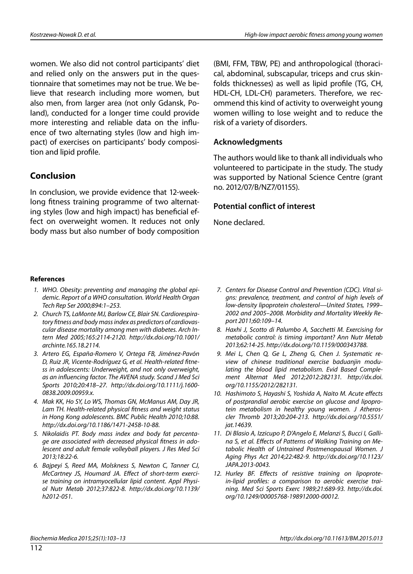women. We also did not control participants' diet and relied only on the answers put in the questionnaire that sometimes may not be true. We believe that research including more women, but also men, from larger area (not only Gdansk, Poland), conducted for a longer time could provide more interesting and reliable data on the influence of two alternating styles (low and high impact) of exercises on participants' body composition and lipid profile.

#### **Conclusion**

In conclusion, we provide evidence that 12-weeklong fitness training programme of two alternating styles (low and high impact) has beneficial effect on overweight women. It reduces not only body mass but also number of body composition

(BMI, FFM, TBW, PE) and anthropological (thoracical, abdominal, subscapular, triceps and crus skinfolds thicknesses) as well as lipid profile (TG, CH, HDL-CH, LDL-CH) parameters. Therefore, we recommend this kind of activity to overweight young women willing to lose weight and to reduce the risk of a variety of disorders.

#### **Acknowledgments**

The authors would like to thank all individuals who volunteered to participate in the study. The study was supported by National Science Centre (grant no. 2012/07/B/NZ7/01155).

#### **Potential conflict of interest**

None declared.

#### **References**

- *1. WHO. Obesity: preventing and managing the global epidemic. Report of a WHO consultation. World Health Organ Tech Rep Ser 2000;894:1–253.*
- *2. Church TS, LaMonte MJ, Barlow CE, Blair SN. Cardiorespiratory fitness and body mass index as predictors of cardiovascular disease mortality among men with diabetes. Arch Intern Med 2005;165:2114-2120. http://dx.doi.org/10.1001/ archinte.165.18.2114.*
- *3. Artero EG, España-Romero V, Ortega FB, Jiménez-Pavón D, Ruiz JR, Vicente-Rodríguez G, et al. Health-related fitness in adolescents: Underweight, and not only overweight, as an influencing factor. The AVENA study. Scand J Med Sci Sports 2010;20:418–27. http://dx.doi.org/10.1111/j.1600- 0838.2009.00959.x.*
- *4. Mak KK, Ho SY, Lo WS, Thomas GN, McManus AM, Day JR, Lam TH. Health-related physical fitness and weight status in Hong Kong adolescents. BMC Public Health 2010;10:88. http://dx.doi.org/10.1186/1471-2458-10-88.*
- *5. Nikolaidis PT. Body mass index and body fat percentage are associated with decreased physical fitness in adolescent and adult female volleyball players. J Res Med Sci 2013;18:22-6.*
- *6. Bajpeyi S, Reed MA, Molskness S, Newton C, Tanner CJ, McCartney JS, Houmard JA. Effect of short-term exercise training on intramyocellular lipid content. Appl Physiol Nutr Metab 2012;37:822-8. http://dx.doi.org/10.1139/ h2012-051.*
- *7. Centers for Disease Control and Prevention (CDC). Vital signs: prevalence, treatment, and control of high levels of low-density lipoprotein cholesterol—United States, 1999– 2002 and 2005–2008. Morbidity and Mortality Weekly Report 2011;60:109–14.*
- *8. Haxhi J, Scotto di Palumbo A, Sacchetti M. Exercising for metabolic control: is timing important? Ann Nutr Metab 2013;62:14-25. http://dx.doi.org/10.1159/000343788.*
- *9. Mei L, Chen Q, Ge L, Zheng G, Chen J. Systematic review of chinese traditional exercise baduanjin modulating the blood lipid metabolism. Evid Based Complement Alternat Med 2012;2012:282131. http://dx.doi. org/10.1155/2012/282131.*
- *10. Hashimoto S, Hayashi S, Yoshida A, Naito M. Acute effects of postprandial aerobic exercise on glucose and lipoprotein metabolism in healthy young women. J Atheroscler Thromb 2013;20:204-213. http://dx.doi.org/10.5551/ jat.14639.*
- *11. Di Blasio A, Izzicupo P, D'Angelo E, Melanzi S, Bucci I, Gallina S, et al. Effects of Patterns of Walking Training on Metabolic Health of Untrained Postmenopausal Women. J Aging Phys Act 2014;22:482-9. http://dx.doi.org/10.1123/ JAPA.2013-0043.*
- *12. Hurley BF. Effects of resistive training on lipoprotein-lipid profiles: a comparison to aerobic exercise training. Med Sci Sports Exerc 1989;21:689-93. http://dx.doi. org/10.1249/00005768-198912000-00012.*